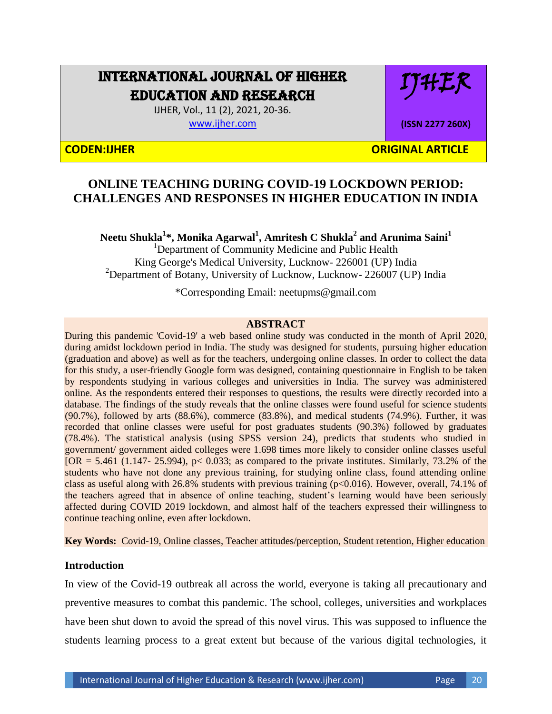# INTERNATIONAL JOURNAL OF HIGHER EDUCATION AND RESEARCH

IJHER

**(ISSN 2277 260X)**

IJHER, Vol., 11 (2), 2021, 20-36. [www.ijher.com](http://www.ijher.com/)

**CODEN:IJHER ORIGINAL ARTICLE** 

## **ONLINE TEACHING DURING COVID-19 LOCKDOWN PERIOD: CHALLENGES AND RESPONSES IN HIGHER EDUCATION IN INDIA**

**Neetu Shukla<sup>1</sup> \*, Monika Agarwal<sup>1</sup> , Amritesh C Shukla<sup>2</sup> and Arunima Saini<sup>1</sup>** <sup>1</sup>Department of Community Medicine and Public Health King George's Medical University, Lucknow- 226001 (UP) India <sup>2</sup>Department of Botany, University of Lucknow, Lucknow- 226007 (UP) India

\*Corresponding Email: neetupms@gmail.com

## **ABSTRACT**

During this pandemic 'Covid-19' a web based online study was conducted in the month of April 2020, during amidst lockdown period in India. The study was designed for students, pursuing higher education (graduation and above) as well as for the teachers, undergoing online classes. In order to collect the data for this study, a user-friendly Google form was designed, containing questionnaire in English to be taken by respondents studying in various colleges and universities in India. The survey was administered online. As the respondents entered their responses to questions, the results were directly recorded into a database. The findings of the study reveals that the online classes were found useful for science students (90.7%), followed by arts (88.6%), commerce (83.8%), and medical students (74.9%). Further, it was recorded that online classes were useful for post graduates students (90.3%) followed by graduates (78.4%). The statistical analysis (using SPSS version 24), predicts that students who studied in government/ government aided colleges were 1.698 times more likely to consider online classes useful  $[OR = 5.461 (1.147 - 25.994), p < 0.033$ ; as compared to the private institutes. Similarly, 73.2% of the students who have not done any previous training, for studying online class, found attending online class as useful along with 26.8% students with previous training ( $p<0.016$ ). However, overall, 74.1% of the teachers agreed that in absence of online teaching, student's learning would have been seriously affected during COVID 2019 lockdown, and almost half of the teachers expressed their willingness to continue teaching online, even after lockdown.

**Key Words:** Covid-19, Online classes, Teacher attitudes/perception, Student retention, Higher education

## **Introduction**

In view of the Covid-19 outbreak all across the world, everyone is taking all precautionary and preventive measures to combat this pandemic. The school, colleges, universities and workplaces have been shut down to avoid the spread of this novel virus. This was supposed to influence the students learning process to a great extent but because of the various digital technologies, it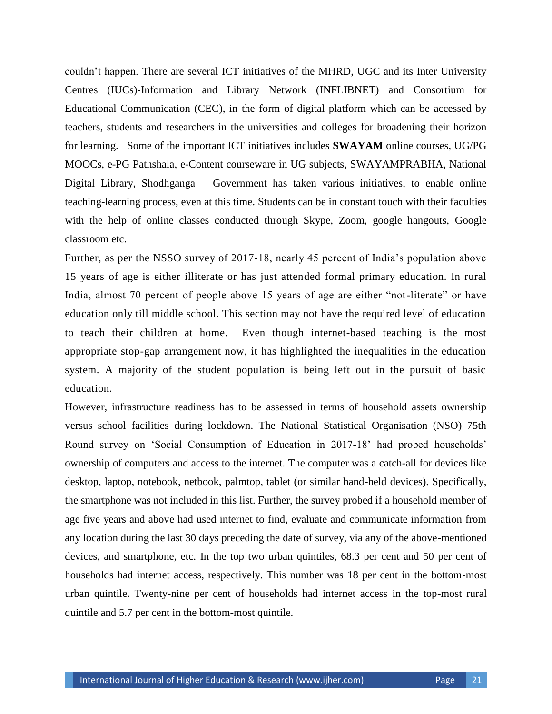couldn"t happen. There are several ICT initiatives of the MHRD, UGC and its Inter University Centres (IUCs)-Information and Library Network (INFLIBNET) and Consortium for Educational Communication (CEC), in the form of digital platform which can be accessed by teachers, students and researchers in the universities and colleges for broadening their horizon for learning. Some of the important ICT initiatives includes **SWAYAM** online courses, UG/PG MOOCs, e-PG Pathshala, e-Content courseware in UG subjects, SWAYAMPRABHA, National Digital Library, Shodhganga Government has taken various initiatives, to enable online teaching-learning process, even at this time. Students can be in constant touch with their faculties with the help of online classes conducted through Skype, Zoom, google hangouts, Google classroom etc.

Further, as per the NSSO survey of 2017-18, nearly 45 percent of India"s population above 15 years of age is either illiterate or has just attended formal primary education. In rural India, almost 70 percent of people above 15 years of age are either "not-literate" or have education only till middle school. This section may not have the required level of education to teach their children at home. Even though internet-based teaching is the most appropriate stop-gap arrangement now, it has highlighted the inequalities in the education system. A majority of the student population is being left out in the pursuit of basic education.

However, infrastructure readiness has to be assessed in terms of household assets ownership versus school facilities during lockdown. The National Statistical Organisation (NSO) 75th Round survey on "Social Consumption of Education in 2017-18" had probed households" ownership of computers and access to the internet. The computer was a catch-all for devices like desktop, laptop, notebook, netbook, palmtop, tablet (or similar hand-held devices). Specifically, the smartphone was not included in this list. Further, the survey probed if a household member of age five years and above had used internet to find, evaluate and communicate information from any location during the last 30 days preceding the date of survey, via any of the above-mentioned devices, and smartphone, etc. In the top two urban quintiles, 68.3 per cent and 50 per cent of households had internet access, respectively. This number was 18 per cent in the bottom-most urban quintile. Twenty-nine per cent of households had internet access in the top-most rural quintile and 5.7 per cent in the bottom-most quintile.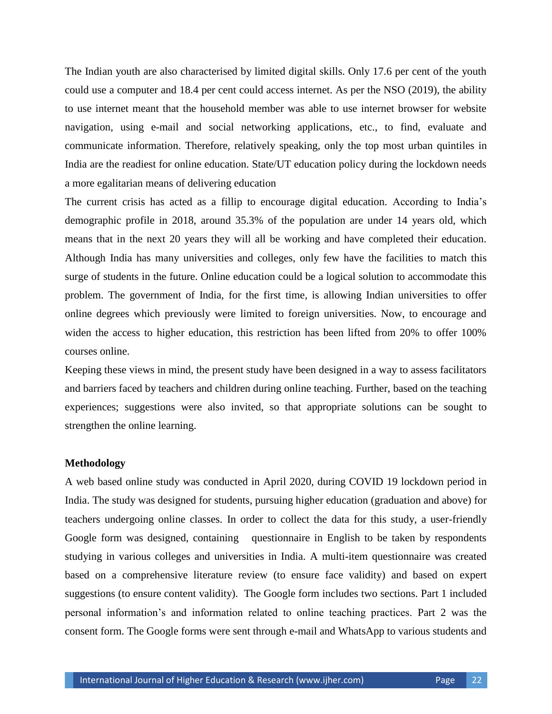The Indian youth are also characterised by limited digital skills. Only 17.6 per cent of the youth could use a computer and 18.4 per cent could access internet. As per the NSO (2019), the ability to use internet meant that the household member was able to use internet browser for website navigation, using e-mail and social networking applications, etc., to find, evaluate and communicate information. Therefore, relatively speaking, only the top most urban quintiles in India are the readiest for online education. State/UT education policy during the lockdown needs a more egalitarian means of delivering education

The current crisis has acted as a fillip to encourage digital education. According to India"s demographic profile in 2018, around 35.3% of the population are under 14 years old, which means that in the next 20 years they will all be working and have completed their education. Although India has many universities and colleges, only few have the facilities to match this surge of students in the future. Online education could be a logical solution to accommodate this problem. The government of India, for the first time, is allowing Indian universities to offer online degrees which previously were limited to foreign universities. Now, to encourage and widen the access to higher education, this restriction has been lifted from 20% to offer 100% courses online.

Keeping these views in mind, the present study have been designed in a way to assess facilitators and barriers faced by teachers and children during online teaching. Further, based on the teaching experiences; suggestions were also invited, so that appropriate solutions can be sought to strengthen the online learning.

#### **Methodology**

A web based online study was conducted in April 2020, during COVID 19 lockdown period in India. The study was designed for students, pursuing higher education (graduation and above) for teachers undergoing online classes. In order to collect the data for this study, a user-friendly Google form was designed, containing questionnaire in English to be taken by respondents studying in various colleges and universities in India. A multi-item questionnaire was created based on a comprehensive literature review (to ensure face validity) and based on expert suggestions (to ensure content validity). The Google form includes two sections. Part 1 included personal information"s and information related to online teaching practices. Part 2 was the consent form. The Google forms were sent through e-mail and WhatsApp to various students and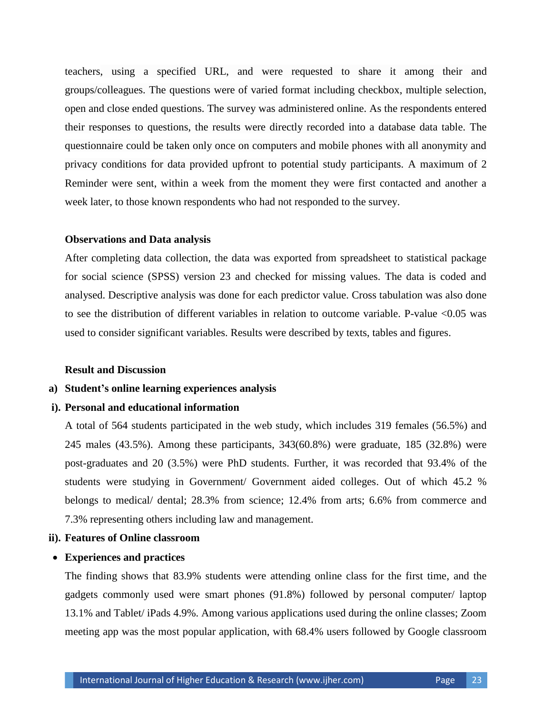teachers, using a specified URL, and were requested to share it among their and groups/colleagues. The questions were of varied format including checkbox, multiple selection, open and close ended questions. The survey was administered online. As the respondents entered their responses to questions, the results were directly recorded into a database data table. The questionnaire could be taken only once on computers and mobile phones with all anonymity and privacy conditions for data provided upfront to potential study participants. A maximum of 2 Reminder were sent, within a week from the moment they were first contacted and another a week later, to those known respondents who had not responded to the survey.

#### **Observations and Data analysis**

After completing data collection, the data was exported from spreadsheet to statistical package for social science (SPSS) version 23 and checked for missing values. The data is coded and analysed. Descriptive analysis was done for each predictor value. Cross tabulation was also done to see the distribution of different variables in relation to outcome variable. P-value <0.05 was used to consider significant variables. Results were described by texts, tables and figures.

#### **Result and Discussion**

#### **a) Student's online learning experiences analysis**

#### **i). Personal and educational information**

A total of 564 students participated in the web study, which includes 319 females (56.5%) and 245 males (43.5%). Among these participants, 343(60.8%) were graduate, 185 (32.8%) were post-graduates and 20 (3.5%) were PhD students. Further, it was recorded that 93.4% of the students were studying in Government/ Government aided colleges. Out of which 45.2 % belongs to medical/ dental; 28.3% from science; 12.4% from arts; 6.6% from commerce and 7.3% representing others including law and management.

#### **ii). Features of Online classroom**

## **Experiences and practices**

The finding shows that 83.9% students were attending online class for the first time, and the gadgets commonly used were smart phones (91.8%) followed by personal computer/ laptop 13.1% and Tablet/ iPads 4.9%. Among various applications used during the online classes; Zoom meeting app was the most popular application, with 68.4% users followed by Google classroom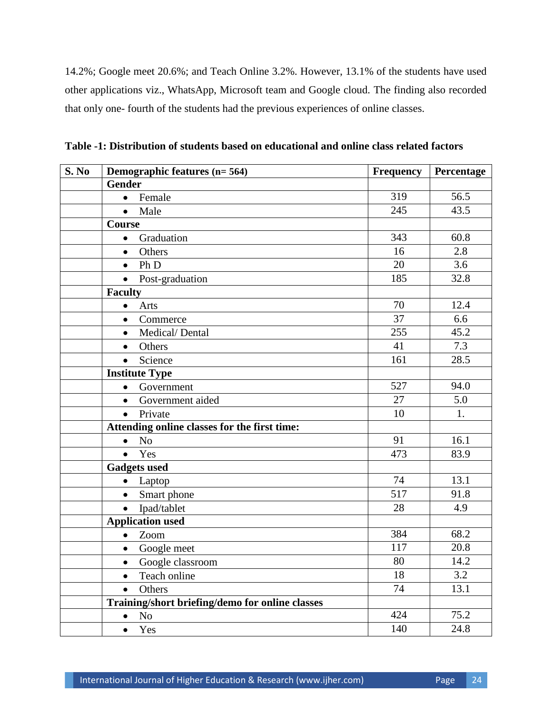14.2%; Google meet 20.6%; and Teach Online 3.2%. However, 13.1% of the students have used other applications viz., WhatsApp, Microsoft team and Google cloud. The finding also recorded that only one- fourth of the students had the previous experiences of online classes.

| S. No | Demographic features (n= 564)                   | <b>Frequency</b> | Percentage |  |
|-------|-------------------------------------------------|------------------|------------|--|
|       | <b>Gender</b>                                   |                  |            |  |
|       | Female<br>$\bullet$                             | 319              | 56.5       |  |
|       | Male<br>$\bullet$                               | 245              | 43.5       |  |
|       | Course                                          |                  |            |  |
|       | Graduation<br>$\bullet$                         | 343              | 60.8       |  |
|       | Others<br>$\bullet$                             | 16               | 2.8        |  |
|       | Ph D<br>$\bullet$                               | 20               | 3.6        |  |
|       | Post-graduation<br>$\bullet$                    | 185              | 32.8       |  |
|       | <b>Faculty</b>                                  |                  |            |  |
|       | Arts<br>$\bullet$                               | 70               | 12.4       |  |
|       | Commerce<br>$\bullet$                           | 37               | 6.6        |  |
|       | Medical/Dental<br>$\bullet$                     | 255              | 45.2       |  |
|       | Others<br>$\bullet$                             | 41               | 7.3        |  |
|       | Science<br>$\bullet$                            | 161              | 28.5       |  |
|       | <b>Institute Type</b>                           |                  |            |  |
|       | Government<br>$\bullet$                         | 527              | 94.0       |  |
|       | Government aided<br>$\bullet$                   | 27               | 5.0        |  |
|       | Private<br>$\bullet$                            | 10               | 1.         |  |
|       | Attending online classes for the first time:    |                  |            |  |
|       | N <sub>o</sub><br>$\bullet$                     | 91               | 16.1       |  |
|       | Yes<br>$\bullet$                                | 473              | 83.9       |  |
|       | <b>Gadgets used</b>                             |                  |            |  |
|       | Laptop<br>$\bullet$                             | 74               | 13.1       |  |
|       | Smart phone<br>$\bullet$                        | 517              | 91.8       |  |
|       | Ipad/tablet<br>$\bullet$                        | 28               | 4.9        |  |
|       | <b>Application used</b>                         |                  |            |  |
|       | Zoom<br>$\bullet$                               | 384              | 68.2       |  |
|       | Google meet<br>$\bullet$                        | 117              | 20.8       |  |
|       | Google classroom<br>$\bullet$                   | 80               | 14.2       |  |
|       | Teach online                                    | 18               | 3.2        |  |
|       | Others<br>$\bullet$                             | 74               | 13.1       |  |
|       | Training/short briefing/demo for online classes |                  |            |  |
|       | N <sub>o</sub><br>$\bullet$                     | 424              | 75.2       |  |
|       | Yes<br>$\bullet$                                | 140              | 24.8       |  |

**Table -1: Distribution of students based on educational and online class related factors**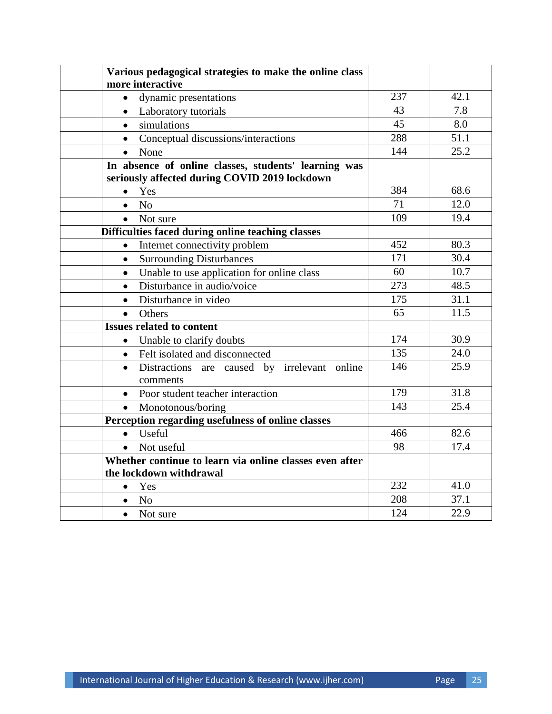| Various pedagogical strategies to make the online class               |                                               |      |  |  |  |  |  |
|-----------------------------------------------------------------------|-----------------------------------------------|------|--|--|--|--|--|
| more interactive                                                      |                                               |      |  |  |  |  |  |
| dynamic presentations<br>$\bullet$                                    | 237                                           | 42.1 |  |  |  |  |  |
| Laboratory tutorials<br>$\bullet$                                     | 43                                            | 7.8  |  |  |  |  |  |
| simulations<br>$\bullet$                                              | $\overline{45}$                               | 8.0  |  |  |  |  |  |
| Conceptual discussions/interactions<br>$\bullet$                      | 288                                           | 51.1 |  |  |  |  |  |
| None<br>$\bullet$                                                     | 144                                           | 25.2 |  |  |  |  |  |
| In absence of online classes, students' learning was                  |                                               |      |  |  |  |  |  |
|                                                                       | seriously affected during COVID 2019 lockdown |      |  |  |  |  |  |
| Yes<br>$\bullet$                                                      | 384                                           | 68.6 |  |  |  |  |  |
| N <sub>o</sub><br>$\bullet$                                           | 71                                            | 12.0 |  |  |  |  |  |
| • Not sure                                                            | 109                                           | 19.4 |  |  |  |  |  |
| Difficulties faced during online teaching classes                     |                                               |      |  |  |  |  |  |
| Internet connectivity problem<br>$\bullet$                            | 452                                           | 80.3 |  |  |  |  |  |
| <b>Surrounding Disturbances</b><br>$\bullet$                          | 171                                           | 30.4 |  |  |  |  |  |
| Unable to use application for online class<br>$\bullet$               | 60                                            | 10.7 |  |  |  |  |  |
| Disturbance in audio/voice<br>$\bullet$                               | 273                                           | 48.5 |  |  |  |  |  |
| Disturbance in video<br>$\bullet$                                     | 175                                           | 31.1 |  |  |  |  |  |
| Others<br>$\bullet$                                                   | 65                                            | 11.5 |  |  |  |  |  |
| <b>Issues related to content</b>                                      |                                               |      |  |  |  |  |  |
| Unable to clarify doubts<br>$\bullet$                                 | 174                                           | 30.9 |  |  |  |  |  |
| • Felt isolated and disconnected                                      | 135                                           | 24.0 |  |  |  |  |  |
| Distractions are caused by irrelevant online<br>$\bullet$<br>comments | 146                                           | 25.9 |  |  |  |  |  |
| Poor student teacher interaction                                      | 179                                           | 31.8 |  |  |  |  |  |
| Monotonous/boring<br>$\bullet$                                        | 143                                           | 25.4 |  |  |  |  |  |
| Perception regarding usefulness of online classes                     |                                               |      |  |  |  |  |  |
| • Useful                                                              | 466                                           | 82.6 |  |  |  |  |  |
| • Not useful                                                          | 98                                            | 17.4 |  |  |  |  |  |
| Whether continue to learn via online classes even after               |                                               |      |  |  |  |  |  |
| the lockdown withdrawal                                               |                                               |      |  |  |  |  |  |
| Yes<br>$\bullet$                                                      | 232                                           | 41.0 |  |  |  |  |  |
| N <sub>o</sub><br>$\bullet$                                           | 208                                           | 37.1 |  |  |  |  |  |
| Not sure<br>$\bullet$                                                 | 124                                           | 22.9 |  |  |  |  |  |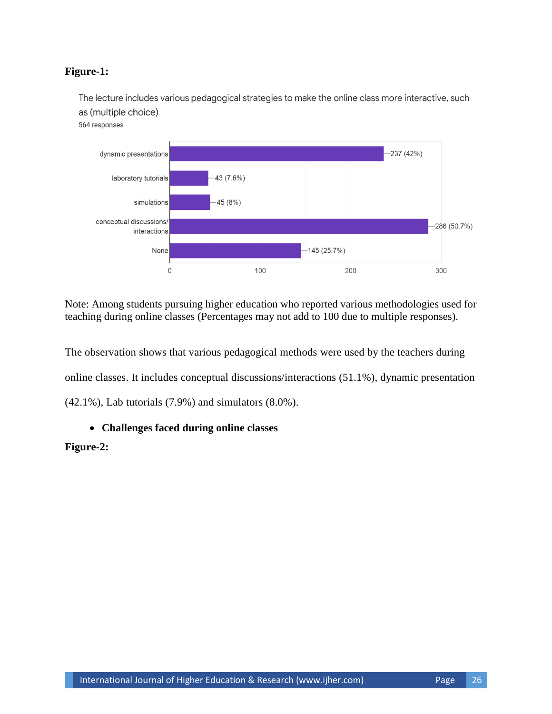## **Figure-1:**

The lecture includes various pedagogical strategies to make the online class more interactive, such as (multiple choice) 564 responses



Note: Among students pursuing higher education who reported various methodologies used for teaching during online classes (Percentages may not add to 100 due to multiple responses).

The observation shows that various pedagogical methods were used by the teachers during online classes. It includes conceptual discussions/interactions (51.1%), dynamic presentation (42.1%), Lab tutorials (7.9%) and simulators (8.0%).

## **Challenges faced during online classes**

## **Figure-2:**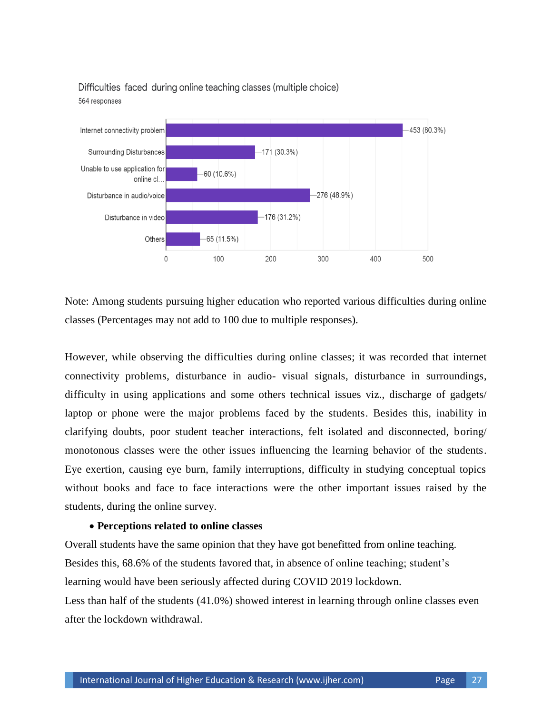

Difficulties faced during online teaching classes (multiple choice) 564 responses

Note: Among students pursuing higher education who reported various difficulties during online classes (Percentages may not add to 100 due to multiple responses).

However, while observing the difficulties during online classes; it was recorded that internet connectivity problems, disturbance in audio- visual signals, disturbance in surroundings, difficulty in using applications and some others technical issues viz., discharge of gadgets/ laptop or phone were the major problems faced by the students. Besides this, inability in clarifying doubts, poor student teacher interactions, felt isolated and disconnected, boring/ monotonous classes were the other issues influencing the learning behavior of the students. Eye exertion, causing eye burn, family interruptions, difficulty in studying conceptual topics without books and face to face interactions were the other important issues raised by the students, during the online survey.

#### **Perceptions related to online classes**

Overall students have the same opinion that they have got benefitted from online teaching. Besides this, 68.6% of the students favored that, in absence of online teaching; student"s learning would have been seriously affected during COVID 2019 lockdown. Less than half of the students (41.0%) showed interest in learning through online classes even after the lockdown withdrawal.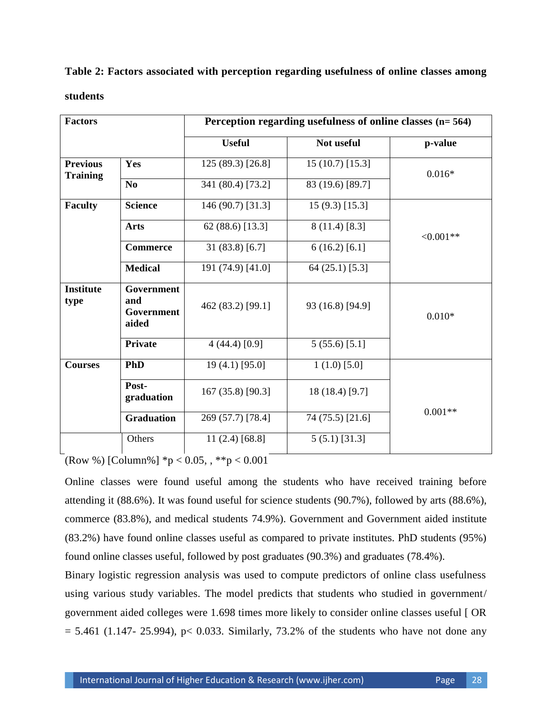## **Table 2: Factors associated with perception regarding usefulness of online classes among**

#### **students**

| <b>Factors</b>                     |                                          | Perception regarding usefulness of online classes $(n=564)$ |                   |            |  |
|------------------------------------|------------------------------------------|-------------------------------------------------------------|-------------------|------------|--|
|                                    |                                          | <b>Useful</b>                                               | Not useful        | p-value    |  |
| <b>Previous</b><br><b>Training</b> | Yes                                      | 125 (89.3) [26.8]                                           | $15(10.7)$ [15.3] | $0.016*$   |  |
|                                    | N <sub>0</sub>                           | 341 (80.4) [73.2]                                           | 83 (19.6) [89.7]  |            |  |
| <b>Faculty</b>                     | <b>Science</b>                           | 146 (90.7) [31.3]                                           | $15(9.3)$ [15.3]  |            |  |
|                                    | <b>Arts</b>                              | 62 (88.6) [13.3]                                            | $8(11.4)$ [8.3]   | $<0.001**$ |  |
|                                    | <b>Commerce</b>                          | 31(83.8)[6.7]                                               | $6(16.2)$ [6.1]   |            |  |
|                                    | <b>Medical</b>                           | 191 (74.9) [41.0]                                           | $64(25.1)$ [5.3]  |            |  |
| <b>Institute</b><br>type           | Government<br>and<br>Government<br>aided | 462 (83.2) [99.1]                                           | 93 (16.8) [94.9]  | $0.010*$   |  |
|                                    | Private                                  | 4(44.4)[0.9]                                                | 5(55.6)[5.1]      |            |  |
| <b>Courses</b>                     | <b>PhD</b>                               | 19 (4.1) [95.0]                                             | $1(1.0)$ [5.0]    |            |  |
|                                    | Post-<br>graduation                      | 167 (35.8) [90.3]                                           | 18 (18.4) [9.7]   |            |  |
|                                    | <b>Graduation</b>                        | 269 (57.7) [78.4]                                           | 74 (75.5) [21.6]  | $0.001**$  |  |
|                                    | Others                                   | 11 $(2.4)$ [68.8]                                           | 5(5.1) [31.3]     |            |  |

 $\sqrt{\text{Row }%$  [Column%]  $*_{p} < 0.05,$ ,  $*_{p} < 0.001$ 

Online classes were found useful among the students who have received training before attending it (88.6%). It was found useful for science students (90.7%), followed by arts (88.6%), commerce (83.8%), and medical students 74.9%). Government and Government aided institute (83.2%) have found online classes useful as compared to private institutes. PhD students (95%) found online classes useful, followed by post graduates (90.3%) and graduates (78.4%).

Binary logistic regression analysis was used to compute predictors of online class usefulness using various study variables. The model predicts that students who studied in government/ government aided colleges were 1.698 times more likely to consider online classes useful [ OR  $= 5.461$  (1.147- 25.994), p< 0.033. Similarly, 73.2% of the students who have not done any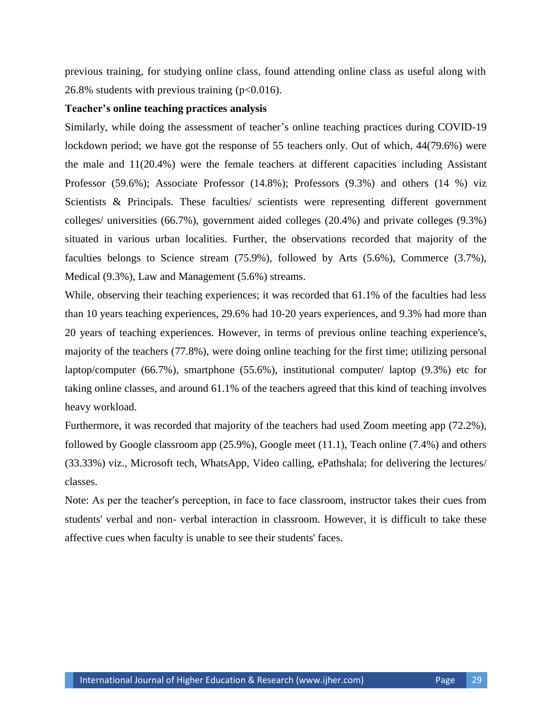previous training, for studying online class, found attending online class as useful along with 26.8% students with previous training  $(p<0.016)$ .

#### **Teacher's online teaching practices analysis**

Similarly, while doing the assessment of teacher"s online teaching practices during COVID-19 lockdown period; we have got the response of 55 teachers only. Out of which, 44(79.6%) were the male and 11(20.4%) were the female teachers at different capacities including Assistant Professor (59.6%); Associate Professor (14.8%); Professors (9.3%) and others (14 %) viz Scientists & Principals. These faculties/ scientists were representing different government colleges/ universities (66.7%), government aided colleges (20.4%) and private colleges (9.3%) situated in various urban localities. Further, the observations recorded that majority of the faculties belongs to Science stream (75.9%), followed by Arts (5.6%), Commerce (3.7%), Medical (9.3%), Law and Management (5.6%) streams.

While, observing their teaching experiences; it was recorded that 61.1% of the faculties had less than 10 years teaching experiences, 29.6% had 10-20 years experiences, and 9.3% had more than 20 years of teaching experiences. However, in terms of previous online teaching experience's, majority of the teachers (77.8%), were doing online teaching for the first time; utilizing personal laptop/computer (66.7%), smartphone (55.6%), institutional computer/ laptop (9.3%) etc for taking online classes, and around 61.1% of the teachers agreed that this kind of teaching involves heavy workload.

Furthermore, it was recorded that majority of the teachers had used Zoom meeting app (72.2%), followed by Google classroom app (25.9%), Google meet (11.1), Teach online (7.4%) and others (33.33%) viz., Microsoft tech, WhatsApp, Video calling, ePathshala; for delivering the lectures/ classes.

Note: As per the teacher′s perception, in face to face classroom, instructor takes their cues from students' verbal and non- verbal interaction in classroom. However, it is difficult to take these affective cues when faculty is unable to see their students' faces.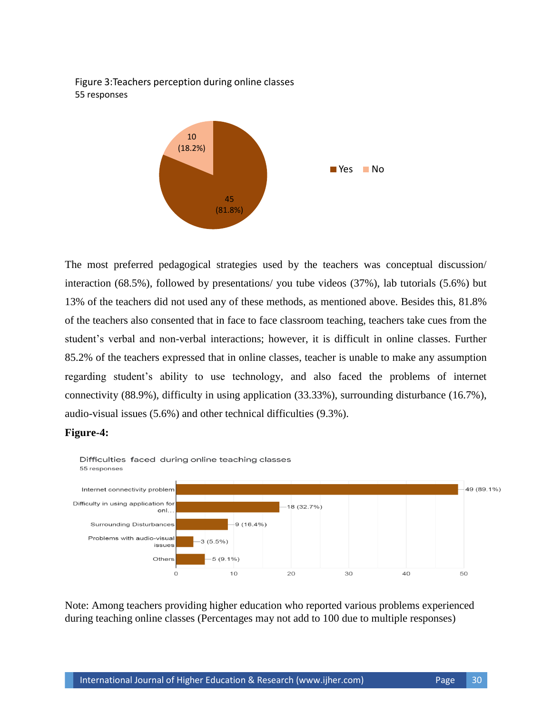Figure 3:Teachers perception during online classes 55 responses



The most preferred pedagogical strategies used by the teachers was conceptual discussion/ interaction (68.5%), followed by presentations/ you tube videos (37%), lab tutorials (5.6%) but 13% of the teachers did not used any of these methods, as mentioned above. Besides this, 81.8% of the teachers also consented that in face to face classroom teaching, teachers take cues from the student"s verbal and non-verbal interactions; however, it is difficult in online classes. Further 85.2% of the teachers expressed that in online classes, teacher is unable to make any assumption regarding student"s ability to use technology, and also faced the problems of internet connectivity (88.9%), difficulty in using application (33.33%), surrounding disturbance (16.7%), audio-visual issues (5.6%) and other technical difficulties (9.3%).

#### **Figure-4:**



Note: Among teachers providing higher education who reported various problems experienced during teaching online classes (Percentages may not add to 100 due to multiple responses)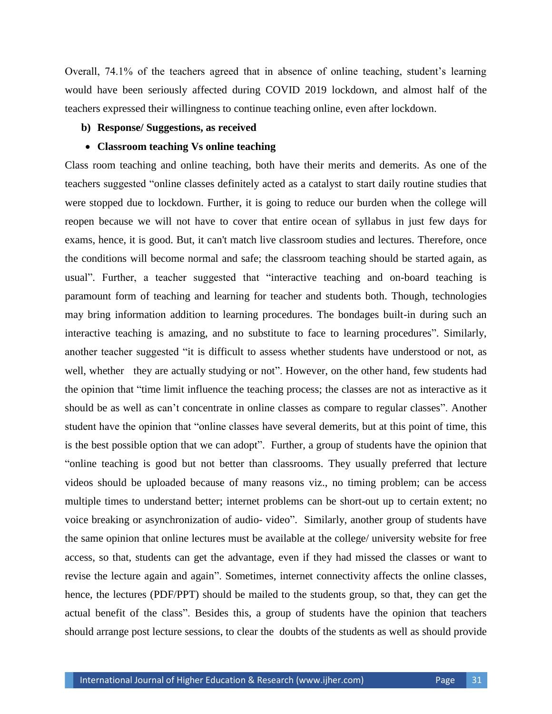Overall, 74.1% of the teachers agreed that in absence of online teaching, student"s learning would have been seriously affected during COVID 2019 lockdown, and almost half of the teachers expressed their willingness to continue teaching online, even after lockdown.

#### **b) Response/ Suggestions, as received**

#### **Classroom teaching Vs online teaching**

Class room teaching and online teaching, both have their merits and demerits. As one of the teachers suggested "online classes definitely acted as a catalyst to start daily routine studies that were stopped due to lockdown. Further, it is going to reduce our burden when the college will reopen because we will not have to cover that entire ocean of syllabus in just few days for exams, hence, it is good. But, it can't match live classroom studies and lectures. Therefore, once the conditions will become normal and safe; the classroom teaching should be started again, as usual". Further, a teacher suggested that "interactive teaching and on-board teaching is paramount form of teaching and learning for teacher and students both. Though, technologies may bring information addition to learning procedures. The bondages built-in during such an interactive teaching is amazing, and no substitute to face to learning procedures". Similarly, another teacher suggested "it is difficult to assess whether students have understood or not, as well, whether they are actually studying or not". However, on the other hand, few students had the opinion that "time limit influence the teaching process; the classes are not as interactive as it should be as well as can"t concentrate in online classes as compare to regular classes". Another student have the opinion that "online classes have several demerits, but at this point of time, this is the best possible option that we can adopt". Further, a group of students have the opinion that "online teaching is good but not better than classrooms. They usually preferred that lecture videos should be uploaded because of many reasons viz., no timing problem; can be access multiple times to understand better; internet problems can be short-out up to certain extent; no voice breaking or asynchronization of audio- video". Similarly, another group of students have the same opinion that online lectures must be available at the college/ university website for free access, so that, students can get the advantage, even if they had missed the classes or want to revise the lecture again and again". Sometimes, internet connectivity affects the online classes, hence, the lectures (PDF/PPT) should be mailed to the students group, so that, they can get the actual benefit of the class". Besides this, a group of students have the opinion that teachers should arrange post lecture sessions, to clear the doubts of the students as well as should provide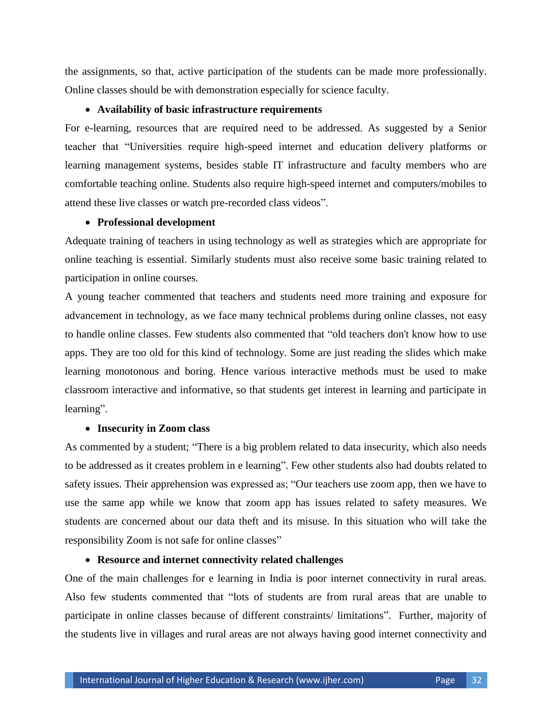the assignments, so that, active participation of the students can be made more professionally. Online classes should be with demonstration especially for science faculty.

#### **Availability of basic infrastructure requirements**

For e-learning, resources that are required need to be addressed. As suggested by a Senior teacher that "Universities require high-speed internet and education delivery platforms or learning management systems, besides stable IT infrastructure and faculty members who are comfortable teaching online. Students also require high-speed internet and computers/mobiles to attend these live classes or watch pre-recorded class videos".

#### **Professional development**

Adequate training of teachers in using technology as well as strategies which are appropriate for online teaching is essential. Similarly students must also receive some basic training related to participation in online courses.

A young teacher commented that teachers and students need more training and exposure for advancement in technology, as we face many technical problems during online classes, not easy to handle online classes. Few students also commented that "old teachers don't know how to use apps. They are too old for this kind of technology. Some are just reading the slides which make learning monotonous and boring. Hence various interactive methods must be used to make classroom interactive and informative, so that students get interest in learning and participate in learning".

#### **Insecurity in Zoom class**

As commented by a student; "There is a big problem related to data insecurity, which also needs to be addressed as it creates problem in e learning". Few other students also had doubts related to safety issues. Their apprehension was expressed as; "Our teachers use zoom app, then we have to use the same app while we know that zoom app has issues related to safety measures. We students are concerned about our data theft and its misuse. In this situation who will take the responsibility Zoom is not safe for online classes"

## **Resource and internet connectivity related challenges**

One of the main challenges for e learning in India is poor internet connectivity in rural areas*.*  Also few students commented that "lots of students are from rural areas that are unable to participate in online classes because of different constraints/ limitations". Further, majority of the students live in villages and rural areas are not always having good internet connectivity and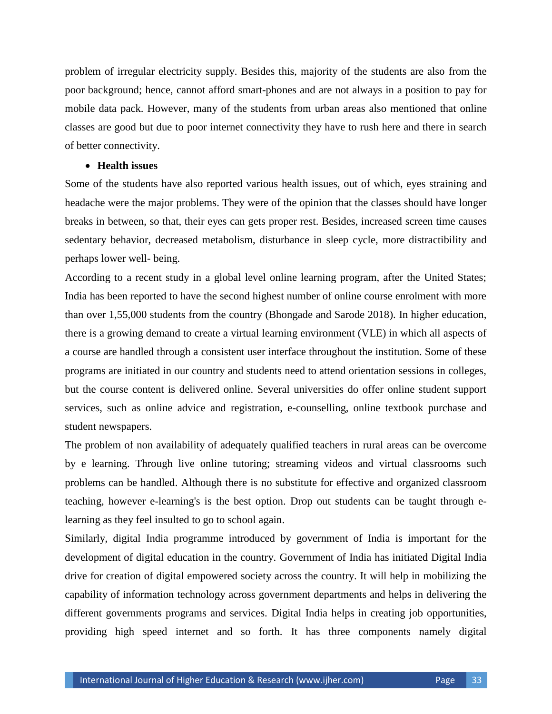problem of irregular electricity supply. Besides this, majority of the students are also from the poor background; hence, cannot afford smart-phones and are not always in a position to pay for mobile data pack. However, many of the students from urban areas also mentioned that online classes are good but due to poor internet connectivity they have to rush here and there in search of better connectivity.

#### **Health issues**

Some of the students have also reported various health issues, out of which, eyes straining and headache were the major problems. They were of the opinion that the classes should have longer breaks in between, so that, their eyes can gets proper rest. Besides, increased screen time causes sedentary behavior, decreased metabolism, disturbance in sleep cycle, more distractibility and perhaps lower well- being.

According to a recent study in a global level online learning program, after the United States; India has been reported to have the second highest number of online course enrolment with more than over 1,55,000 students from the country (Bhongade and Sarode 2018). In higher education, there is a growing demand to create a virtual learning environment (VLE) in which all aspects of a course are handled through a consistent user interface throughout the institution. Some of these programs are initiated in our country and students need to attend orientation sessions in colleges, but the course content is delivered online. Several universities do offer online student support services, such as online advice and registration, e-counselling, online textbook purchase and student newspapers.

The problem of non availability of adequately qualified teachers in rural areas can be overcome by e learning. Through live online tutoring; streaming videos and virtual classrooms such problems can be handled. Although there is no substitute for effective and organized classroom teaching, however e-learning's is the best option. Drop out students can be taught through elearning as they feel insulted to go to school again.

Similarly, digital India programme introduced by government of India is important for the development of digital education in the country. Government of India has initiated Digital India drive for creation of digital empowered society across the country. It will help in mobilizing the capability of information technology across government departments and helps in delivering the different governments programs and services. Digital India helps in creating job opportunities, providing high speed internet and so forth. It has three components namely digital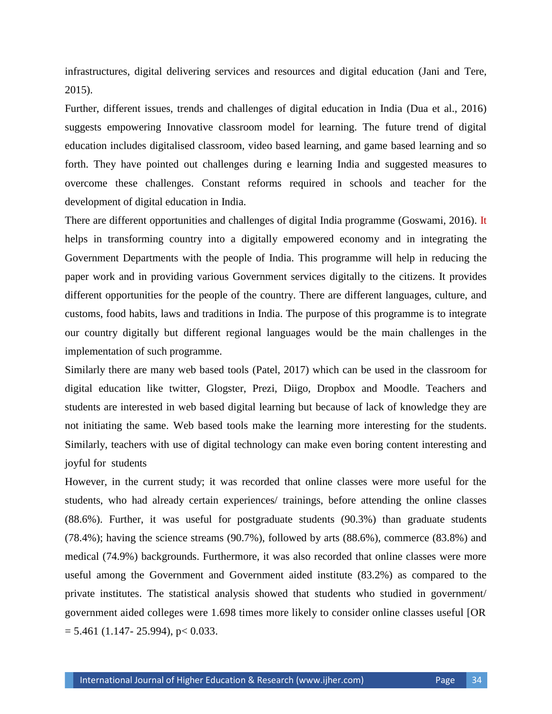infrastructures, digital delivering services and resources and digital education (Jani and Tere, 2015).

Further, different issues, trends and challenges of digital education in India (Dua et al., 2016) suggests empowering Innovative classroom model for learning. The future trend of digital education includes digitalised classroom, video based learning, and game based learning and so forth. They have pointed out challenges during e learning India and suggested measures to overcome these challenges. Constant reforms required in schools and teacher for the development of digital education in India.

There are different opportunities and challenges of digital India programme (Goswami, 2016). It helps in transforming country into a digitally empowered economy and in integrating the Government Departments with the people of India. This programme will help in reducing the paper work and in providing various Government services digitally to the citizens. It provides different opportunities for the people of the country. There are different languages, culture, and customs, food habits, laws and traditions in India. The purpose of this programme is to integrate our country digitally but different regional languages would be the main challenges in the implementation of such programme.

Similarly there are many web based tools (Patel, 2017) which can be used in the classroom for digital education like twitter, Glogster, Prezi, Diigo, Dropbox and Moodle. Teachers and students are interested in web based digital learning but because of lack of knowledge they are not initiating the same. Web based tools make the learning more interesting for the students. Similarly, teachers with use of digital technology can make even boring content interesting and joyful for students

However, in the current study; it was recorded that online classes were more useful for the students, who had already certain experiences/ trainings, before attending the online classes (88.6%). Further, it was useful for postgraduate students (90.3%) than graduate students (78.4%); having the science streams (90.7%), followed by arts (88.6%), commerce (83.8%) and medical (74.9%) backgrounds. Furthermore, it was also recorded that online classes were more useful among the Government and Government aided institute (83.2%) as compared to the private institutes. The statistical analysis showed that students who studied in government/ government aided colleges were 1.698 times more likely to consider online classes useful [OR  $= 5.461$  (1.147- 25.994), p < 0.033.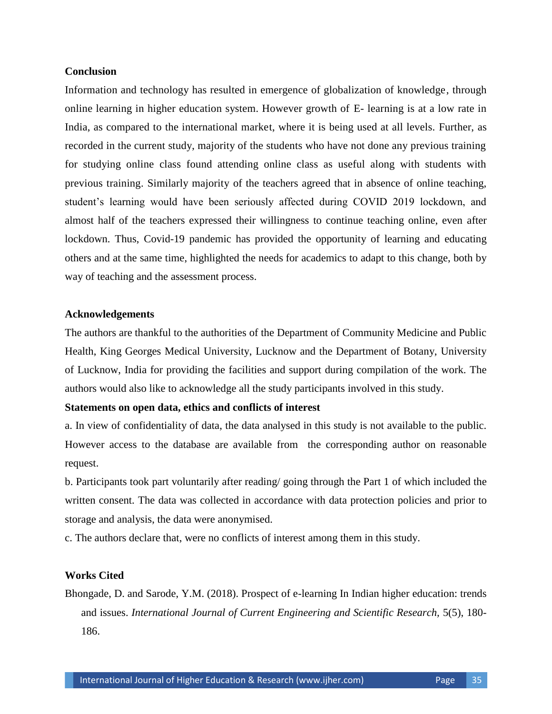## **Conclusion**

Information and technology has resulted in emergence of globalization of knowledge, through online learning in higher education system. However growth of E- learning is at a low rate in India, as compared to the international market, where it is being used at all levels. Further, as recorded in the current study, majority of the students who have not done any previous training for studying online class found attending online class as useful along with students with previous training. Similarly majority of the teachers agreed that in absence of online teaching, student"s learning would have been seriously affected during COVID 2019 lockdown, and almost half of the teachers expressed their willingness to continue teaching online, even after lockdown. Thus, Covid-19 pandemic has provided the opportunity of learning and educating others and at the same time, highlighted the needs for academics to adapt to this change, both by way of teaching and the assessment process.

## **Acknowledgements**

The authors are thankful to the authorities of the Department of Community Medicine and Public Health, King Georges Medical University, Lucknow and the Department of Botany, University of Lucknow, India for providing the facilities and support during compilation of the work. The authors would also like to acknowledge all the study participants involved in this study.

## **Statements on open data, ethics and conflicts of interest**

a. In view of confidentiality of data, the data analysed in this study is not available to the public. However access to the database are available from the corresponding author on reasonable request.

b. Participants took part voluntarily after reading/ going through the Part 1 of which included the written consent. The data was collected in accordance with data protection policies and prior to storage and analysis, the data were anonymised.

c. The authors declare that, were no conflicts of interest among them in this study.

## **Works Cited**

Bhongade, D. and Sarode, Y.M. (2018). Prospect of e-learning In Indian higher education: trends and issues. *International Journal of Current Engineering and Scientific Research,* 5(5), 180- 186.